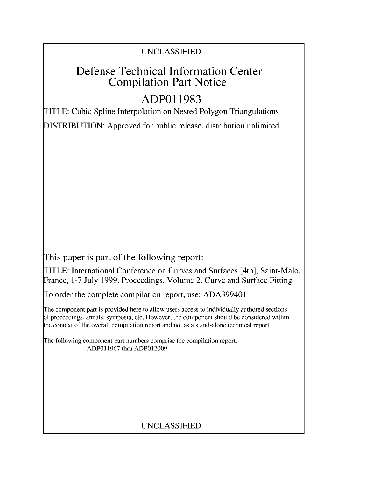## UNCLASSIFIED

# Defense Technical Information Center Compilation Part Notice

# **ADPO1 1983**

TITLE: Cubic Spline Interpolation on Nested Polygon Triangulations DISTRIBUTION: Approved for public release, distribution unlimited

This paper is part of the following report:

TITLE: International Conference on Curves and Surfaces [4th], Saint-Malo, France, 1-7 July 1999. Proceedings, Volume 2. Curve and Surface Fitting

To order the complete compilation report, use: ADA399401

The component part is provided here to allow users access to individually authored sections f proceedings, annals, symposia, etc. However, the component should be considered within [he context of the overall compilation report and not as a stand-alone technical report.

The following component part numbers comprise the compilation report: ADP011967 thru ADPO12009

### UNCLASSIFIED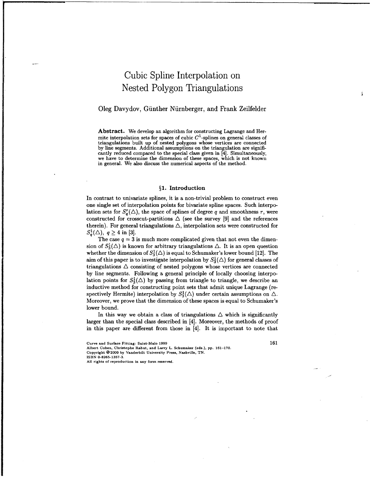## Cubic Spline Interpolation on Nested Polygon Triangulations

### Oleg Davydov, Giinther Niirnberger, and Frank Zeilfelder

Abstract. We develop an algorithm for constructing Lagrange and Hermite interpolation sets for spaces of cubic  $C<sup>1</sup>$ -splines on general classes of triangulations built up of nested polygons whose vertices are connected by line segments. Additional assumptions on the triangulation are significantly reduced compared to the special class given in [4]. Simultaneously, we have to determine the dimension of these spaces, which is not known in general. We also discuss the numerical aspects of the method.

#### §1. Introduction

In contrast to univariate splines, it is a non-trivial problem to construct even one single set of interpolation points for bivariate spline spaces. Such interpolation sets for  $S_{q}^{r}(\triangle)$ , the space of splines of degree q and smoothness r, were constructed for crosscut-partitions  $\Delta$  (see the survey [9] and the references therein). For general triangulations  $\Delta$ , interpolation sets were constructed for  $S_q^1(\triangle)$ ,  $q \geq 4$  in [3].

The case  $q = 3$  is much more complicated given that not even the dimension of  $S_3^1(\triangle)$  is known for arbitrary triangulations  $\triangle$ . It is an open question whether the dimension of  $S_3^1(\triangle)$  is equal to Schumaker's lower bound [12]. The aim of this paper is to investigate interpolation by  $S_3^1(\triangle)$  for general classes of triangulations  $\triangle$  consisting of nested polygons whose vertices are connected by line segments. Following a general principle of locally choosing interpolation points for  $S_3^1(\triangle)$  by passing from triangle to triangle, we describe an inductive method for constructing point sets that admit unique Lagrange (respectively Hermite) interpolation by  $S_3^1(\triangle)$  under certain assumptions on  $\triangle$ . Moreover, we prove that the dimension of these spaces is equal to Schumaker's lower bound.

In this way we obtain a class of triangulations  $\triangle$  which is significantly larger than the special class described in [4]. Moreover, the methods of proof in this paper are different from those in [4]. It is important to note that

Albert Cohen, Christophe Rabut, and Larry L. Schumaker (eds.), **pp. 161-170.** Copyright 02000 **by** Vanderbilt University Press, Nashville, **TN.**

**ISBN 0-8265-1357-3.**

**All** rights of reproduction in any form reserved.

Curve and Surface Fitting: Saint-Malo **1999** 161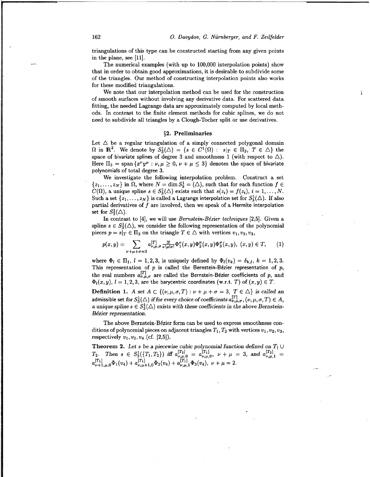triangulations of this type can be constructed starting from any given points in the plane, see [11].

The numerical examples (with up to 100,000 interpolation points) show that in order to obtain good approximations, it is desirable to subdivide some of the triangles. Our method of constructing interpolation points also works for these modified triangulations.

We note that our interpolation method can be used for the construction of smooth surfaces without involving any derivative data. For scattered data fitting, the needed Lagrange data are approximately computed by local methods. In contrast to the finite element methods for cubic splines, we do not need to subdivide all triangles by a Clough-Tocher split or use derivatives.

#### §2. Preliminaries

Let  $\Delta$  be a regular triangulation of a simply connected polygonal domain  $\Omega$  in  $\mathbb{R}^2$ . We denote by  $S_3^1(\triangle) = \{s \in C^1(\Omega) : s|_T \in \Pi_3, T \in \triangle\}$  the space of bivariate splines of degree 3 and smoothness 1 (with respect to  $\triangle$ ). Here  $\Pi_3 = \text{span} \{x^{\nu}y^{\mu} : \nu, \mu \geq 0, \nu + \mu \leq 3\}$  denotes the space of bivariate polynomials of total degree 3.

We investigate the following interpolation problem. Construct a set  $\{z_1, \ldots, z_N\}$  in  $\Omega$ , where  $N = \dim S_3^1 = (\triangle)$ , such that for each function  $f \in$  $C(\Omega)$ , a unique spline  $s \in S_3^1(\triangle)$  exists such that  $s(z_i) = f(z_i)$ ,  $i = 1, \ldots, N$ . Such a set  $\{z_1,\ldots,z_N\}$  is called a Lagrange interpolation set for  $S_3^1(\triangle)$ . If also partial derivatives of **f** are involved, then we speak of a Hermite interpolation set for  $S_3^1(\triangle)$ .

In contrast to [4], we will use *Bernstein-Bézier techniques* [2,5]. Given a spline  $s \in S_3^1(\triangle)$ , we consider the following representation of the polynomial pieces  $p = s|_T \in \Pi_3$  on the triangle  $T \in \Delta$  with vertices  $v_1, v_2, v_3$ ,

$$
p(x,y) = \sum_{\nu+\mu+\sigma=3} a_{\nu,\mu,\sigma}^{[T]} \frac{3!}{\nu!\mu!\sigma!} \Phi_1^{\nu}(x,y) \Phi_2^{\mu}(x,y) \Phi_3^{\sigma}(x,y), \ (x,y) \in T, \qquad (1)
$$

where  $\Phi_l \in \Pi_1$ ,  $l = 1,2,3$ , is uniquely defined by  $\Phi_l(v_k) = \delta_{k,l}$ ,  $k = 1,2,3$ . This representation of  $p$  is called the Bernstein-Bézier representation of  $p$ , the real numbers  $a_{\nu,\mu,\sigma}^{[T]}$  are called the Bernstein-Bézier coefficients of p, and  $\Phi_l(x,y), l = 1,2,3$ , are the barycentric coordinates (w.r.t. T) of  $(x,y) \in T$ .

**Definition 1.** *A set*  $A \subset \{(\nu, \mu, \sigma, T) : \nu + \mu + \sigma = 3, T \in \Delta\}$  *is called an* admissible set for  $S_3^1(\triangle)$  *if for every choice of coefficients*  $a_{\nu,\mu,\sigma}^{[T]}$ ,  $(\nu,\mu,\sigma,T) \in A$ , a unique spline  $s \in S_3^1(\triangle)$  exists with these coefficients in the above Bernstein-*Bézier representation.* 

The above Bernstein-Bézier form can be used to express smoothness conditions of polynomial pieces on adjacent triangles  $T_1, T_2$  with vertices  $v_1, v_2, v_3$ , respectively  $v_1, v_2, v_4$  (cf. [2,5]).

**Theorem 2.** Let s be a piecewise cubic polynomial function defined on  $T_1 \cup$ **Theorem 2.** Let s be a piecewise cubic polynomial function defined on  $T_2$ .<br>  $T_2$ . Then  $s \in S_3^1({T_1, T_2})$  iff  $a_{\nu,\mu,0}^{[T_2]} = a_{\nu,\mu,0}^{[T_1]}$ ,  $\nu + \mu = 3$ , and  $a_{\nu,\mu,1}^{[T_2]}$ <br>  $a_{\nu+1,\mu,0}^{[T_1]} \Phi_1(v_4) + a_{\nu,\mu+1,$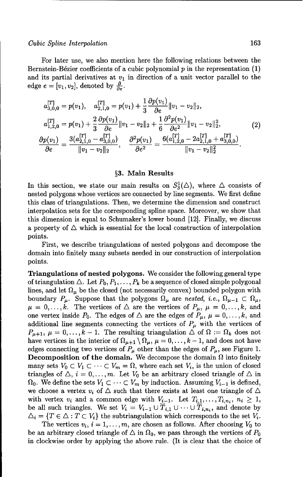#### *Cubic Spline Interpolation* 163

For later use, we also mention here the following relations between the Bernstein-Bézier coefficients of a cubic polynomial  $p$  in the representation  $(1)$ and its partial derivatives at  $v_1$  in direction of a unit vector parallel to the edge  $e = [v_1, v_2]$ , denoted by  $\frac{\partial}{\partial e}$ .

$$
a_{3,0,0}^{[T]} = p(v_1), \quad a_{2,1,0}^{[T]} = p(v_1) + \frac{1}{3} \frac{\partial p(v_1)}{\partial e} ||v_1 - v_2||_2,
$$
  
\n
$$
a_{1,2,0}^{[T]} = p(v_1) + \frac{2}{3} \frac{\partial p(v_1)}{\partial e} ||v_1 - v_2||_2 + \frac{1}{6} \frac{\partial^2 p(v_1)}{\partial e^2} ||v_1 - v_2||_2^2,
$$
  
\n
$$
\frac{\partial p(v_1)}{\partial e} = \frac{3(a_{2,1,0}^{[T]} - a_{3,0,0}^{[T]})}{||v_1 - v_2||_2}, \quad \frac{\partial^2 p(v_1)}{\partial e^2} = \frac{6(a_{1,2,0}^{[T]} - 2a_{2,1,0}^{[T]} + a_{3,0,0}^{[T]})}{||v_1 - v_2||_2^2}.
$$
\n(2)

#### §3. Main Results

In this section, we state our main results on  $S_3^1(\triangle)$ , where  $\triangle$  consists of nested polygons whose vertices are connected by line segments. We first define this class of triangulations. Then, we determine the dimension and construct interpolation sets for the corresponding spline space. Moreover, we show that this dimension is equal to Schumaker's lower bound [12]. Finally, we discuss a property of  $\Delta$  which is essential for the local construction of interpolation points.

First, we describe triangulations of nested polygons and decompose the domain into finitely many subsets needed in our construction of interpolation points.

Triangulations of nested polygons. We consider the following general type of triangulation  $\triangle$ . Let  $P_0, P_1, \ldots, P_k$  be a sequence of closed simple polygonal lines, and let  $\Omega_{\mu}$  be the closed (not necessarily convex) bounded polygon with boundary  $P_\mu$ . Suppose that the polygons  $\Omega_\mu$  are nested, i.e.,  $\Omega_{\mu-1} \subset \Omega_\mu$ ,  $\mu = 0, \ldots, k$ . The vertices of  $\Delta$  are the vertices of  $P_{\mu}, \mu = 0, \ldots, k$ , and one vertex inside  $P_0$ . The edges of  $\triangle$  are the edges of  $P_\mu$ ,  $\mu = 0, \ldots, k$ , and additional line segments connecting the vertices of  $P_\mu$  with the vertices of  $P_{\mu+1}, \mu = 0, \ldots, k-1$ . The resulting triangulation  $\Delta$  of  $\Omega := \Omega_k$  does not have vertices in the interior of  $\Omega_{\mu+1} \setminus \Omega_{\mu}$ ,  $\mu = 0, \ldots, k-1$ , and does not have edges connecting two vertices of  $P_\mu$  other than the edges of  $P_\mu$ , see Figure 1. Decomposition of the domain. We decompose the domain  $\Omega$  into finitely many sets  $V_0 \subset V_1 \subset \cdots \subset V_m = \Omega$ , where each set  $V_i$ , is the union of closed triangles of  $\triangle$ ,  $i = 0, ..., m$ . Let  $V_0$  be an arbitrary closed triangle of  $\triangle$  in  $\Omega_0$ . We define the sets  $V_1 \subset \cdots \subset V_m$  by induction. Assuming  $V_{i-1}$  is defined, we choose a vertex  $v_i$  of  $\Delta$  such that there exists at least one triangle of  $\Delta$ with vertex  $v_i$  and a common edge with  $V_{i-1}$ . Let  $T_{i,1},...,T_{i,n_i}, n_i \geq 1$ , be all such triangles. We set  $V_i = V_{i-1} \cup \overline{T}_{i,1} \cup \cdots \cup \overline{T}_{i,n_i}$ , and denote by  $\Delta_i = \{T \in \Delta : T \subset V_i\}$  the subtriangulation which corresponds to the set  $V_i$ .

The vertices  $v_i$ ,  $i = 1, ..., m$ , are chosen as follows. After choosing  $V_0$  to be an arbitrary closed triangle of  $\Delta$  in  $\Omega_0$ , we pass through the vertices of  $P_0$ in clockwise order by applying the above rule. (It is clear that the choice of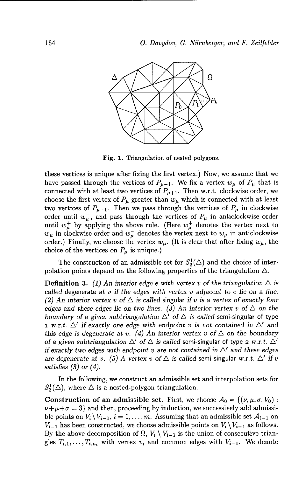

Fig. **1.** Triangulation of nested polygons.

these vertices is unique after fixing the first vertex.) Now, we assume that we have passed through the vertices of  $P_{\mu-1}$ . We fix a vertex  $w_{\mu}$  of  $P_{\mu}$  that is connected with at least two vertices of  $P_{\mu+1}$ . Then w.r.t. clockwise order, we choose the first vertex of  $P_\mu$  greater than  $w_\mu$  which is connected with at least two vertices of  $P_{\mu-1}$ . Then we pass through the vertices of  $P_{\mu}$  in clockwise order until  $w_{\mu}^-$ , and pass through the vertices of  $P_{\mu}$  in anticlockwise order until  $w_{\mu}^+$  by applying the above rule. (Here  $w_{\mu}^+$  denotes the vertex next to  $w_{\mu}$  in clockwise order and  $w_{\mu}^-$  denotes the vertex next to  $w_{\mu}$  in anticlockwise order.) Finally, we choose the vertex  $w_{\mu}$ . (It is clear that after fixing  $w_{\mu}$ , the choice of the vertices on  $P_{\mu}$  is unique.)

The construction of an admissible set for  $S_3^1(\triangle)$  and the choice of interpolation points depend on the following properties of the triangulation  $\Delta$ .

**Definition 3.** (1) An interior edge e with vertex v of the triangulation  $\triangle$  is called degenerate at v *if the* edges *with vertex v adjacent* to e lie *on a line. (2) An interior vertex v of*  $\triangle$  *is called singular if v is a vertex of exactly four* edges and these edges lie on two lines. (3) An interior vertex v of  $\triangle$  on the boundary of a given subtriangulation  $\Delta'$  of  $\Delta$  is called semi-singular of type **1** *w.r.t.*  $\Delta'$  if exactly one edge with endpoint *v* is not contained in  $\Delta'$  and this edge is degenerate at *v*. (4) An interior vertex *v* of  $\triangle$  on the boundary of a given subtriangulation  $\Delta'$  of  $\Delta$  is called semi-singular of type 2 w.r.t.  $\Delta'$ if exactly two edges with endpoint  $v$  are not contained in  $\Delta'$  and these edges are degenerate at v. (5) A vertex v of  $\triangle$  is called semi-singular w.r.t.  $\triangle'$  if v satisfies *(3)* or (4).

In the following, we construct an admissible set and interpolation sets for  $S_3^1(\triangle)$ , where  $\triangle$  is a nested-polygon triangulation.

**Construction of an admissible set.** First, we choose  $\mathcal{A}_0 = \{(\nu, \mu, \sigma, V_0) :$  $\nu+\mu+\sigma = 3$  and then, proceeding by induction, we successively add admissible points on  $V_i \setminus V_{i-1}$ ,  $i = 1, ..., m$ . Assuming that an admissible set  $\mathcal{A}_{i-1}$  on  $V_{i-1}$  has been constructed, we choose admissible points on  $V_i \setminus V_{i-1}$  as follows. By the above decomposition of  $\Omega$ ,  $V_i \setminus V_{i-1}$  is the union of consecutive triangles  $T_{i,1},...,T_{i,n_i}$  with vertex  $v_i$  and common edges with  $V_{i-1}$ . We denote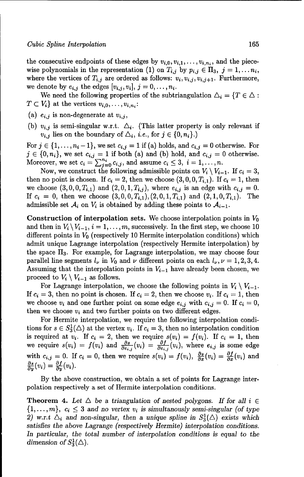the consecutive endpoints of these edges by  $v_{i,0}, v_{i,1}, \ldots, v_{i,n_i}$ , and the piecewise polynomials in the representation (1) on  $T_{i,j}$  by  $p_{i,j} \in \Pi_3$ ,  $j = 1, \ldots n_i$ , where the vertices of  $T_{i,j}$  are ordered as follows:  $v_i, v_{i,j}, v_{i,j+1}$ . Furthermore, we denote by  $e_{i,j}$  the edges  $[v_{i,j}, v_i], j = 0, \ldots, n_i$ .

We need the following properties of the subtriangulation  $\Delta_i = \{T \in \Delta :$  $T \subset V_i$  at the vertices  $v_{i,0}, \ldots, v_{i,n_i}$ :

- (a)  $e_{i,j}$  is non-degenerate at  $v_{i,j}$ ,
- (b)  $v_{i,j}$  is semi-singular w.r.t.  $\Delta_i$ . (This latter property is only relevant if  $v_{i,j}$  lies on the boundary of  $\Delta_i$ , *i.e.*, for  $j \in \{0, n_i\}$ .)

For  $j \in \{1, \ldots, n_i-1\}$ , we set  $c_{i,j} = 1$  if (a) holds, and  $c_{i,j} = 0$  otherwise. For  $j \in \{0, n_i\}$ , we set  $c_{i,j} = 1$  if both (a) and (b) hold, and  $c_{i,j} = 0$  otherwise. Moreover, we set  $c_i = \sum_{i=0}^{n_i} c_{i,j}$ , and assume  $c_i \leq 3$ ,  $i = 1, \ldots, n$ .

Now, we construct the following admissible points on  $V_i \setminus V_{i-1}$ . If  $c_i = 3$ , then no point is chosen. If  $c_i = 2$ , then we choose  $(3, 0, 0, T_{i,1})$ . If  $c_i = 1$ , then we choose  $(3,0,0,T_{i,1})$  and  $(2,0,1,T_{i,j})$ , where  $e_{i,j}$  is an edge with  $c_{i,j} = 0$ . If  $c_i = 0$ , then we choose  $(3,0,0,T_{i,1}), (2,0,1,T_{i,1})$  and  $(2,1,0,T_{i,1})$ . The admissible set  $A_i$  on  $V_i$  is obtained by adding these points to  $A_{i-1}$ .

Construction of interpolation sets. We choose interpolation points in  $V_0$ and then in  $V_i \setminus V_{i-1}$ ,  $i = 1, \ldots, m$ , successively. In the first step, we choose 10 different points in *V0* (respectively 10 Hermite interpolation conditions) which admit unique Lagrange interpolation (respectively Hermite interpolation) by the space  $\Pi_3$ . For example, for Lagrange interpolation, we may choose four parallel line segments  $l_{\nu}$  in  $V_0$  and  $\nu$  different points on each  $l_{\nu}$ ,  $\nu = 1, 2, 3, 4$ . Assuming that the interpolation points in  $V_{i-1}$  have already been chosen, we proceed to  $V_i \setminus V_{i-1}$  as follows.

For Lagrange interpolation, we choose the following points in  $V_i \setminus V_{i-1}$ . If  $c_i = 3$ , then no point is chosen. If  $c_i = 2$ , then we choose  $v_i$ . If  $c_i = 1$ , then we choose  $v_i$  and one further point on some edge  $e_{i,j}$  with  $c_{i,j} = 0$ . If  $c_i = 0$ , then we choose  $v_i$  and two further points on two different edges.

For Hermite interpolation, we require the following interpolation conditions for  $s \in S_3^1(\triangle)$  at the vertex  $v_i$ . If  $c_i = 3$ , then no interpolation condition is required at  $v_i$ . If  $c_i = 2$ , then we require  $s(v_i) = f(v_i)$ . If  $c_i = 1$ , then we require  $s(v_i) = f(v_i)$  and  $\frac{\partial s}{\partial s_i}(v_i) = \frac{\partial f}{\partial s_i}(v_i)$ , where  $e_{i,j}$  is some edge with  $c_{i,j} = 0$ . If  $c_i = 0$ , then we require  $s(v_i) = f(v_i)$ ,  $\frac{\partial s}{\partial x}(v_i) = \frac{\partial f}{\partial x}(v_i)$  and  $\frac{\partial s}{\partial y}(v_i) = \frac{\partial f}{\partial y}(v_i).$ 

By the above construction, we obtain a set of points for Lagrange interpolation respectively a set of Hermite interpolation conditions.

**Theorem 4.** Let  $\triangle$  be a triangulation of nested polygons. If for all  $i \in$  $\{1,\ldots,m\},\ c_i\leq 3\$  and no vertex  $v_i$  is simultanously semi-singular (of type 2) w.r.t  $\Delta_i$  and non-singular, then a unique spline in  $S_3^1(\Delta)$  exists which *satisfies the* above Lagrange *(respectively Hermite) interpolation conditions.* In particular, the total number of interpolation conditions is equal to the *dimension of*  $S_3^1(\triangle)$ .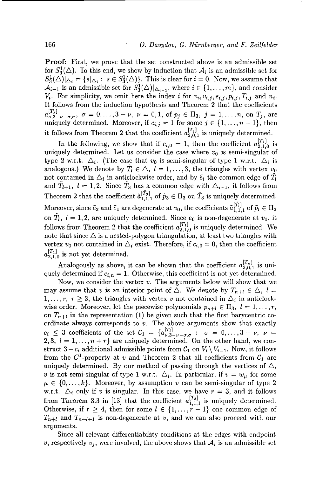Proof: First, we prove that the set constructed above is an admissible set for  $S_3^1(\triangle)$ . To this end, we show by induction that  $\mathcal{A}_i$  is an admissible set for  $S_3^1(\triangle)|_{\triangle_i} = \{s|_{\triangle_i}: s \in S_3^1(\triangle)\}\.$  This is clear for  $i = 0$ . Now, we assume that  $\mathcal{A}_{i-1}$  is an admissible set for  $S_3^1(\triangle)|_{\triangle_{i-1}}$ , where  $i \in \{1,\ldots,m\}$ , and consider  $V_i$ . For simplicity, we omit here the index *i* for  $v_i, v_{i,j}, e_{i,j}, p_{i,j}, T_{i,j}$  and  $n_i$ . It follows from the induction hypothesis and Theorem 2 that the coefficients  $\{^{[T_j]}_{\nu,3-\nu-\sigma,\sigma}, \sigma = 0,\ldots, 3-\nu, \nu = 0,1, \text{ of } p_j \in \Pi_3, j = 1,\ldots,n, \text{ on } T_j, \text{ are }$ uniquely determined. Moreover, if  $c_{i,j} = 1$  for some  $j \in \{1, \ldots, n-1\}$ , then it follows from Theorem 2 that the coefficient  $a_{2,0,1}^{[T_j]}$  is uniquely determined.

In the following, we show that if  $c_{i,0} = 1$ , then the coefficient  $a_{2,1,0}^{[T_1]}$  is uniquely determined. Let us consider the case where  $v_0$  is semi-singular of type 2 w.r.t.  $\Delta_i$ . (The case that  $v_0$  is semi-singular of type 1 w.r.t.  $\Delta_i$  is analogous.) We denote by  $\tilde{T}_l \in \triangle$ ,  $l = 1, \ldots, 3$ , the triangles with vertex  $v_0$ not contained in  $\Delta_i$  in anticlockwise order, and by  $\tilde{e}_l$  the common edge of  $T_l$ and  $\tilde{T}_{l+1}$ ,  $l = 1, 2$ . Since  $\tilde{T}_3$  has a common edge with  $\Delta_{i-1}$ , it follows from  $T_{t+1}$ ,  $v = 1,2$ , since  $T_3$  has  $\alpha$  $T_{1,1,1}^{[23]}$  of  $\tilde{p}_3 \in \Pi_3$  on  $T_3$  is uniquely determined. Moreover, since  $\tilde{e}_2$  and  $\tilde{e}_1$  are degenerate at  $v_0$ , the coefficients  $\tilde{a}_{1,1,1}^{[T_1]}$  of  $\tilde{p}_l \in \Pi_3$ on  $\tilde{T}_l$ ,  $l = 1, 2$ , are uniquely determined. Since  $e_0$  is non-degenerate at  $v_0$ , it follows from Theorem 2 that the coefficient  $a_{2,1,0}^{[T_1]}$  is uniquely determined. We note that since  $\Delta$  is a nested-polygon triangulation, at least two triangles with vertex  $v_0$  not contained in  $\Delta_i$  exist. Therefore, if  $c_{i,0} = 0$ , then the coefficient  $a_{2,1,0}^{[T_1]}$  is not yet determined.

Analogously as above, it can be shown that the coefficient  $a_{2,0,1}^{[T_n]}$  is uniquely determined if  $c_{i,n} = 1$ . Otherwise, this coefficient is not yet determined.

Now, we consider the vertex  $v$ . The arguments below will show that we may assume that v is an interior point of  $\Delta$ . We denote by  $T_{n+l} \in \Delta$ ,  $l =$  $1, \ldots, r, r \geq 3$ , the triangles with vertex v not contained in  $\Delta_i$  in anticlockwise order. Moreover, let the piecewise polynomials  $p_{n+l} \in \Pi_3, l = 1,\ldots,r$ , on  $T_{n+l}$  in the representation (1) be given such that the first barycentric coordinate always corresponds to  $v$ . The above arguments show that exactly  $c_i \leq 3$  coefficients of the set  $C_1 = \{a_{\nu,3-\nu-\sigma,\sigma}^{[T_1]} : \sigma = 0,\ldots,3\}$ 2, 3,  $l = 1, \ldots, n + r$  are uniquely determined. On the other hand, we construct  $3 - c_i$  additional admissible points from  $C_1$  on  $V_i \setminus V_{i-1}$ . Now, it follows from the  $C^1$ -property at v and Theorem 2 that all coefficients from  $C_1$  are uniquely determined. By our method of passing through the vertices of  $\triangle$ , v is not semi-singular of type 1 w.r.t.  $\Delta_i$ . In particular, if  $v = w_\mu$  for some  $\mu \in \{0, \ldots, k\}$ . Moreover, by assumption v can be semi-singular of type 2 w.r.t.  $\Delta_i$  only if v is singular. In this case, we have  $r = 3$ , and it follows w.i.e.  $\sum_i$  only if v is singular. In this case, we have Otherwise, if  $r \geq 4$ , then for some  $l \in \{1, \ldots, r-1\}$  one common edge of  $T_{n+l}$  and  $T_{n+l+1}$  is non-degenerate at v, and we can also proceed with our arguments.

Since all relevant differentiability conditions at the edges with endpoint v, respectively  $v_j$ , were involved, the above shows that  $A_i$  is an admissible set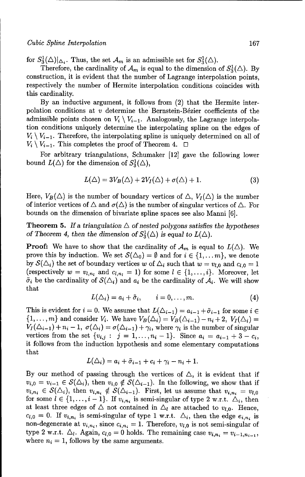for  $S_3^1(\triangle)|_{\triangle_i}$ . Thus, the set  $\mathcal{A}_m$  is an admissible set for  $S_3^1(\triangle)$ .

Therefore, the cardinality of  $\mathcal{A}_m$  is equal to the dimension of  $S_3^1(\triangle)$ . By construction, it is evident that the number of Lagrange interpolation points, respectively the number of Hermite interpolation conditions coincides with this cardinality.

By an inductive argument, it follows from (2) that the Hermite interpolation conditions at  $v$  determine the Bernstein-Bézier coefficients of the admissible points chosen on  $V_i \setminus V_{i-1}$ . Analogously, the Lagrange interpolation conditions uniquely determine the interpolating spline on the edges of  $V_i \setminus V_{i-1}$ . Therefore, the interpolating spline is uniquely determined on all of  $V_i \setminus V_{i-1}$ . This completes the proof of Theorem 4.  $\Box$ 

For arbitrary triangulations, Schumaker [12] gave the following lower bound  $L(\Delta)$  for the dimension of  $S_3^1(\Delta)$ ,

$$
L(\triangle) = 3V_B(\triangle) + 2V_I(\triangle) + \sigma(\triangle) + 1.
$$
 (3)

Here,  $V_B(\triangle)$  is the number of boundary vertices of  $\triangle$ ,  $V_I(\triangle)$  is the number of interior vertices of  $\Delta$  and  $\sigma(\Delta)$  is the number of singular vertices of  $\Delta$ . For bounds on the dimension of bivariate spline spaces see also Manni [6].

Theorem 5. If a triangulation  $\triangle$  of nested polygons satisfies the hypotheses of Theorem 4, then the dimension of  $S_3^1(\triangle)$  is equal to  $L(\triangle)$ .

**Proof:** We have to show that the cardinality of  $\mathcal{A}_m$  is equal to  $L(\triangle)$ . We prove this by induction. We set  $\mathcal{S}(\Delta_0) = \emptyset$  and for  $i \in \{1, \ldots m\}$ , we denote by  $S(\Delta_i)$  the set of boundary vertices *w* of  $\Delta_i$  such that  $w = v_{i,0}$  and  $c_{i,0} = 1$ (respectively  $w = v_{l,n_l}$  and  $c_{l,n_l} = 1$ ) for some  $l \in \{1, \ldots, i\}$ . Moreover, let  $\tilde{\sigma}_i$  be the cardinality of  $S(\Delta_i)$  and  $a_i$  be the cardinality of  $A_i$ . We will show  $_{\rm that}$ 

$$
L(\triangle_i) = a_i + \tilde{\sigma}_i, \qquad i = 0, \ldots, m.
$$
 (4)

This is evident for  $i = 0$ . We assume that  $L(\Delta_{i-1}) = a_{i-1} + \tilde{\sigma}_{i-1}$  for some  $i \in$  $\{1,\ldots,m\}$  and consider  $V_i$ . We have  $V_B(\Delta_i) = V_B(\Delta_{i-1}) - n_i + 2$ ,  $V_I(\Delta_i) =$  $V_I(\Delta_{i-1}) + n_i - 1$ ,  $\sigma(\Delta_i) = \sigma(\Delta_{i-1}) + \gamma_i$ , where  $\gamma_i$  is the number of singular vertices from the set  $\{v_{i,j} : j = 1, ..., n_i - 1\}$ . Since  $a_i = a_{i-1} + 3 - c_i$ , it follows from the induction hypothesis and some elementary computations that

$$
L(\triangle_i) = a_i + \tilde{\sigma}_{i-1} + c_i + \gamma_i - n_i + 1.
$$

By our method of passing through the vertices of  $\Delta$ , it is evident that if  $v_{i,0} = v_{i-1} \in \mathcal{S}(\Delta_i)$ , then  $v_{i,0} \notin \mathcal{S}(\Delta_{i-1})$ . In the following, we show that if  $v_{i,n_i} \in S(\Delta_i)$ , then  $v_{i,n_i} \notin S(\Delta_{i-1})$ . First, let us assume that  $v_{i,n_i} = v_{l,0}$ for some  $l \in \{1, \ldots, i-1\}$ . If  $v_{i,n_i}$  is semi-singular of type 2 w.r.t.  $\Delta_i$ , then at least three edges of  $\triangle$  not contained in  $\triangle_l$  are attached to  $v_{l,0}$ . Hence,  $c_{l,0} = 0$ . If  $v_{i,n_i}$  is semi-singular of type 1 w.r.t.  $\Delta_i$ , then the edge  $e_{i,n_i}$  is non-degenerate at  $v_{i,n_i}$ , since  $c_{i,n_i} = 1$ . Therefore,  $v_{i,0}$  is not semi-singular of type 2 w.r.t.  $\Delta_l$ . Again,  $c_{l,0} = 0$  holds. The remaining case  $v_{i,n_i} = v_{i-1,n_{i-1}}$ , where  $n_i = 1$ , follows by the same arguments.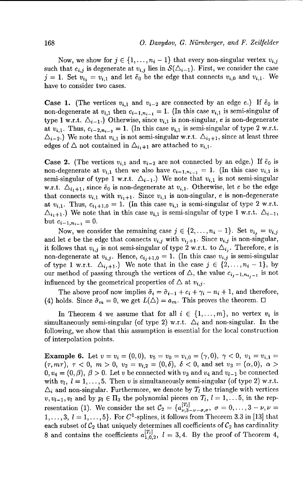Now, we show for  $j \in \{1, ..., n_i - 1\}$  that every non-singular vertex  $v_{i,j}$ such that  $e_{i,j}$  is degenerate at  $v_{i,j}$  lies in  $\mathcal{S}(\Delta_{i-1})$ . First, we consider the case  $j = 1$ . Set  $v_{i_1} = v_{i_1}$  and let  $\tilde{e}_0$  be the edge that connects  $v_{i_1}$  and  $v_{i_1}$ . We have to consider two cases.

**Case 1.** (The vertices  $v_{i,1}$  and  $v_{i-2}$  are connected by an edge e.) If  $\tilde{e}_0$  is non-degenerate at  $v_{i,1}$  then  $c_{i-1,n_{i-1}} = 1$ . (In this case  $v_{i,1}$  is semi-singular of type 1 w.r.t.  $\Delta_{i-1}$ .) Otherwise, since  $v_{i,1}$  is non-singular, e is non-degenerate at  $v_{i,1}$ . Thus,  $c_{i-2,n_{i-2}} = 1$ . (In this case  $v_{i,1}$  is semi-singular of type 2 w.r.t.  $\Delta_{i-2}$ .) We note that  $v_{i,1}$  is not semi-singular w.r.t.  $\Delta_{i+1}$ , since at least three edges of  $\triangle$  not contained in  $\triangle_{i_1+1}$  are attached to  $v_{i,1}$ .

**Case 2.** (The vertices  $v_{i,1}$  and  $v_{i-2}$  are not connected by an edge.) If  $\tilde{e}_0$  is non-degenerate at  $v_{i,1}$  then we also have  $c_{i-1,n_{i-1}} = 1$ . (In this case  $v_{i,1}$  is semi-singular of type 1 w.r.t.  $\Delta_{i-1}$ .) We note that  $v_{i,1}$  is not semi-singular w.r.t.  $\Delta_{i_1+1}$ , since  $\tilde{e}_0$  is non-degenerate at  $v_{i,1}$ . Otherwise, let e be the edge that connects  $v_{i,1}$  with  $v_{i_1+1}$ . Since  $v_{i,1}$  is non-singular, e is non-degenerate at  $v_{i,1}$ . Thus,  $c_{i_1+1,0} = 1$ . (In this case  $v_{i,1}$  is semi-singular of type 2 w.r.t.  $\Delta_{i_1+1}$ .) We note that in this case  $v_{i,1}$  is semi-singular of type 1 w.r.t.  $\Delta_{i-1}$ , but  $c_{i-1,n_{i-1}} = 0$ .

Now, we consider the remaining case  $j \in \{2, \ldots, n_i - 1\}$ . Set  $v_{i,j} = v_{i,j}$ and let e be the edge that connects  $v_{i,j}$  with  $v_{i,j+1}$ . Since  $v_{i,j}$  is non-singular, it follows that  $v_{i,j}$  is not semi-singular of type 2 w.r.t. to  $\Delta_{i,j}$ . Therefore, e is non-degenerate at  $v_{i,j}$ . Hence,  $c_{i,j+1,0} = 1$ . (In this case  $v_{i,j}$  is semi-singular of type 1 w.r.t.  $\Delta_{i,j+1}$ .) We note that in the case  $j \in \{2,\ldots,n_i-1\}$ , by our method of passing through the vertices of  $\triangle$ , the value  $c_{i,j-1,n_{i,j-1}}$  is not influenced by the geometrical properties of  $\Delta$  at  $v_{i,j}$ .

The above proof now implies  $\tilde{\sigma}_i = \tilde{\sigma}_{i-1} + c_i + \gamma_i - n_i + 1$ , and therefore, (4) holds. Since  $\tilde{\sigma}_m = 0$ , we get  $L(\Delta) = a_m$ . This proves the theorem.  $\Box$ 

In Theorem 4 we assume that for all  $i \in \{1, ..., m\}$ , no vertex  $v_i$  is simultaneously semi-singular (of type 2) w.r.t.  $\Delta_i$  and non-singular. In the following, we show that this assumption is essential for the local construction of interpolation points.

**Example 6.** Let  $v = v_i = (0, 0), v_5 = v_0 = v_{i,0} = (\gamma, 0), \gamma < 0, v_1 = v_{i,1} =$  $(\tau, m\tau)$ ,  $\tau < 0$ ,  $m > 0$ ,  $v_2 = v_{i,2} = (0, \delta)$ ,  $\delta < 0$ , and set  $v_3 = (\alpha, 0)$ ,  $\alpha >$  $0, v_4 = (0, \beta), \beta > 0.$  Let v be connected with  $v_3$  and  $v_4$  and  $v_{l-1}$  be connected with  $v_i$ ,  $l = 1, ..., 5$ . Then v is simultaneously semi-singular (of type 2) w.r.t.  $\Delta_i$  and non-singular. Furthermore, we denote by  $T_l$  the triangle with vertices  $v, v_{l-1}, v_l$  and by  $p_l \in \Pi_3$  the polynomial pieces on  $T_l$ ,  $l = 1, \ldots, 5$ , in the representation (1). We consider the set  $C_2 = \{a_{\nu,3-\nu-\sigma,\sigma}^{[T_1]}, \sigma = 0,\ldots,3-\nu,\nu = 0\}$  $1,\ldots, 3, l=1,\ldots, 5\}$ . For C<sup>1</sup>-splines, it follows from Theorem 3.3 in [13] that each subset of  $\mathcal{C}_2$  that uniquely determines all coefficients of  $\mathcal{C}_2$  has cardinality 8 and contains the coefficients  $a_{1,0,2}^{[T_1]}$ ,  $l = 3,4$ . By the proof of Theorem 4,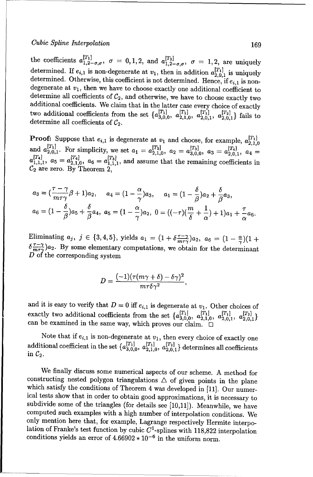### Cubic Spline Interpolation 169

the coefficients *a[Til a IT2]*  $1, 1, 2-\sigma, \sigma$ ,  $\sigma = 0, 1, 2$ , and  $a_{1,2-\sigma,\sigma}^{[1,2]}, \sigma = 1, 2$ , are uniquely determined. If  $e_{i,1}$  is non-degenerate at  $v_1$ , then in addition  $a_{2,0,1}^{[T_1]}$  is uniquely determined. Otherwise, this coefficient is not determined. Hence, if  $e_{i,1}$  is non-degenerate at  $v_1$ , then we have to choose exactly one additional coefficient to determine all coefficients of  $C_2$ , and otherwise, we have to choose exactly two additional coefficients. We claim that in the latter case every choice of exactly two additional coefficients from the set  $\{a_{3,0,0}^{[T_1]}, a_{2,1,0}^{[T_1]}, a_{2,0,1}^{[T_1]}, a_{2,0,1}^{[T_2]}\}$  fails to determine all coefficients of  $\mathcal{C}_2$ .

**Proof:** Suppose that  $e_{i,1}$  is degenerate at  $v_1$  and choose, for example,  $a_{i}^{[T_1]}$ and  $a_{2,0,1}^{[T_1]}$ . For simplicity, we set  $a_1 = a_{2,1,0}^{[T_3]}$ ,  $a_2 = a_{3,0,0}^{[T_3]}$ ,  $a_3 = a_{2,0}^{[T_4]}$ and  $a_{2,0,1}$ . For simplicity, we set  $a_1 = a_{2,1,0}$ ,  $a_2 = a_{3,0,0}$ ,  $a_3 = a_{2,0,1}^{[T_4]}$ ,  $a_4 = a_{1,1,1}^{[T_4]}$ ,  $a_5 = a_{2,1,0}^{[T_4]}$ ,  $a_6 = a_{1,1,1}^{[T_3]}$ , and assume that the remaining coefficients in  $\mathcal{C}_2$  are zero. By Theorem 2,

$$
a_3 = \left(\frac{\tau - \gamma}{m\tau\gamma}\beta + 1\right)a_2, \quad a_4 = \left(1 - \frac{\alpha}{\gamma}\right)a_3, \quad a_1 = \left(1 - \frac{\delta}{\beta}\right)a_2 + \frac{\delta}{\beta}a_3,
$$
  

$$
a_6 = \left(1 - \frac{\delta}{\beta}\right)a_5 + \frac{\delta}{\beta}a_4, \quad a_5 = \left(1 - \frac{\alpha}{\gamma}\right)a_2, \quad 0 = \left(\left(-\tau\right)\left(\frac{m}{\delta} + \frac{1}{\alpha}\right) + 1\right)a_1 + \frac{\tau}{\alpha}a_6.
$$

Eliminating  $a_j$ ,  $j \in \{3,4,5\}$ , yields  $a_1 = (1 + \delta \frac{\tau - \gamma}{m \tau \gamma})a_2$ ,  $a_6 = (1 - \frac{\alpha}{\gamma})(1 + \frac{\beta}{m \tau \gamma})a_3$  $\delta \frac{\tau-\gamma}{m\tau\gamma}$ )a<sub>2</sub>. By some elementary computations, we obtain for the determinant  $\overrightarrow{D}$  of the corresponding system

$$
D=\frac{(-1)(\tau(m\gamma+\delta)-\delta\gamma)^2}{m\tau\delta\gamma^2},
$$

and it is easy to verify that  $D = 0$  iff  $e_{i,1}$  is degenerate at  $v_1$ . Other choices of exactly two additional coefficients from the set  $\{a_{3,0,0}^{[T_1]}, a_{2,1,0}^{[T_1]}, a_{2,0,1}^{[T_1]}, a_{2,0,1}^{[T_2]} \}$ <br>can be examined in the same way, which proves our claim.  $\square$ 

Note that if  $e_{i,1}$  is non-degenerate at  $v_1$ , then every choice of exactly one additional coefficient in the set  $\{a_{3,0,0}^{[T_1]}, a_{2,1,0}^{[T_1]}, a_{2,0,1}^{[T_2]}\}$  determines all coefficients in  $\mathcal{C}_2$ .

We finally discuss some numerical aspects of our scheme. A method for constructing nested polygon triangulations  $\triangle$  of given points in the plane which satisfy the conditions of Theorem 4 was developed in [11]. Our numerical tests show that in order to obtain good approximations, it is nec subdivide some of the triangles (for details see **[10,11]).** Meanwhile, we have computed such examples with a high number of interpolation conditions. We only mention here that, for example, Lagrange respectively Hermite interpolation of Franke's test function by cubic  $C^1$ -splines with 118,822 interpolation conditions yields an error of  $4.66902 * 10^{-6}$  in the uniform norm.